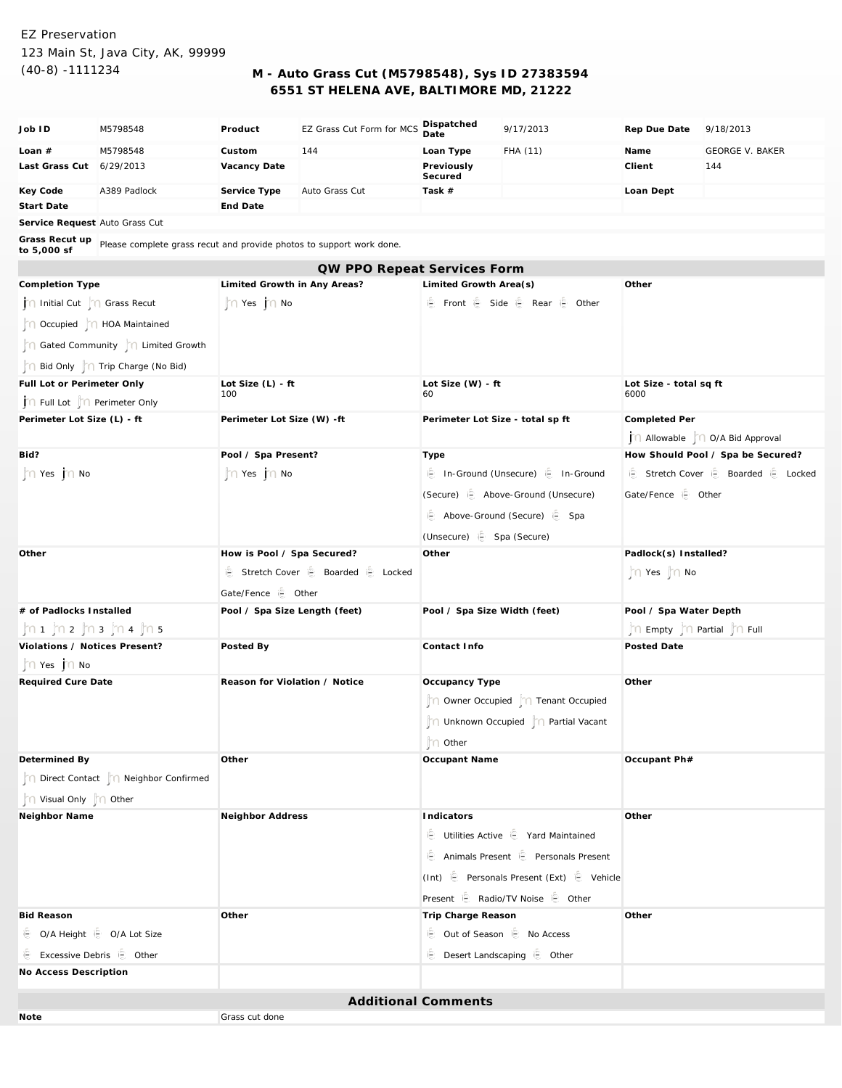## EZ Preservation 123 Main St, Java City, AK, 99999

## (40-8) -1111234 **M - Auto Grass Cut (M5798548), Sys ID 27383594 6551 ST HELENA AVE, BALTIMORE MD, 21222**

| Job ID                                                                                             | M5798548                              | Product                               | EZ Grass Cut Form for MCS | Dispatched<br>Date                                      | 9/17/2013                            | Rep Due Date                          | 9/18/2013              |  |
|----------------------------------------------------------------------------------------------------|---------------------------------------|---------------------------------------|---------------------------|---------------------------------------------------------|--------------------------------------|---------------------------------------|------------------------|--|
| Loan $#$                                                                                           | M5798548                              | Custom                                | 144                       | Loan Type                                               | FHA (11)                             | Name                                  | <b>GEORGE V. BAKER</b> |  |
| Last Grass Cut 6/29/2013                                                                           |                                       | Vacancy Date                          |                           | Previously<br>Secured                                   |                                      | Client                                | 144                    |  |
| Key Code                                                                                           | A389 Padlock                          | Service Type                          | Auto Grass Cut            | Task #                                                  |                                      | Loan Dept                             |                        |  |
| Start Date                                                                                         |                                       | End Date                              |                           |                                                         |                                      |                                       |                        |  |
| Service Request Auto Grass Cut                                                                     |                                       |                                       |                           |                                                         |                                      |                                       |                        |  |
| Grass Recut up Please complete grass recut and provide photos to support work done.<br>to 5,000 sf |                                       |                                       |                           |                                                         |                                      |                                       |                        |  |
| QW PPO Repeat Services Form                                                                        |                                       |                                       |                           |                                                         |                                      |                                       |                        |  |
| Completion Type                                                                                    |                                       | Limited Growth in Any Areas?          |                           | Limited Growth Area(s)                                  |                                      | Other                                 |                        |  |
| Initial Cut   ∩ Grass Recut                                                                        |                                       | n Yes no                              |                           | i色 Front i色 Side i色 Rear i色 Other                       |                                      |                                       |                        |  |
| n Occupied   n HOA Maintained                                                                      |                                       |                                       |                           |                                                         |                                      |                                       |                        |  |
|                                                                                                    | n Gated Community n Limited Growth    |                                       |                           |                                                         |                                      |                                       |                        |  |
|                                                                                                    | Bid Only     Trip Charge (No Bid)     |                                       |                           |                                                         |                                      |                                       |                        |  |
| Full Lot or Perimeter Only                                                                         |                                       | Lot Size $(L)$ - ft                   |                           | Lot Size (W) - ft                                       |                                      | Lot Size - total sq ft                |                        |  |
| in Full Lot  n Perimeter Only                                                                      |                                       | 100                                   |                           | 60                                                      |                                      | 6000                                  |                        |  |
| Perimeter Lot Size (L) - ft                                                                        |                                       | Perimeter Lot Size (W) -ft            |                           | Perimeter Lot Size - total sp ft                        |                                      | Completed Per                         |                        |  |
|                                                                                                    |                                       |                                       |                           |                                                         |                                      | j∩ Allowable  ∩ O/A Bid Approval      |                        |  |
| Bid?                                                                                               |                                       | Pool / Spa Present?                   |                           | Type                                                    |                                      | How Should Pool / Spa be Secured?     |                        |  |
| n Yes jn No                                                                                        |                                       | n Yes no                              |                           | ie In-Ground (Unsecure) ie In-Ground                    |                                      | ie Stretch Cover ie Boarded ie Locked |                        |  |
|                                                                                                    |                                       |                                       |                           | (Secure) <b>E</b> Above-Ground (Unsecure)               |                                      | Gate/Fence i Other                    |                        |  |
|                                                                                                    |                                       |                                       |                           | Above-Ground (Secure) is Spa                            |                                      |                                       |                        |  |
|                                                                                                    |                                       |                                       |                           | (Unsecure) (Spa (Secure)                                |                                      |                                       |                        |  |
| Other                                                                                              |                                       | How is Pool / Spa Secured?            |                           | Other                                                   |                                      | Padlock(s) Installed?                 |                        |  |
|                                                                                                    |                                       | ie Stretch Cover ie Boarded ie Locked |                           |                                                         |                                      | n Yes no                              |                        |  |
|                                                                                                    |                                       | Gate/Fence is Other                   |                           |                                                         |                                      |                                       |                        |  |
| # of Padlocks Installed                                                                            |                                       | Pool / Spa Size Length (feet)         |                           | Pool / Spa Size Width (feet)                            |                                      | Pool / Spa Water Depth                |                        |  |
| ljn 1. ljn 2. ljn 3. ljn 4. ljn 5                                                                  |                                       |                                       |                           |                                                         |                                      | n Empty n Partial n Full              |                        |  |
| Violations / Notices Present?                                                                      |                                       | Posted By                             |                           | Contact Info                                            |                                      | Posted Date                           |                        |  |
| $\int$ $\cap$ Yes $\int$ $\cap$ No                                                                 |                                       |                                       |                           |                                                         |                                      |                                       |                        |  |
| Required Cure Date                                                                                 |                                       | Reason for Violation / Notice         |                           | Occupancy Type                                          |                                      | Other                                 |                        |  |
|                                                                                                    |                                       |                                       |                           |                                                         | n Owner Occupied no Tenant Occupied  |                                       |                        |  |
|                                                                                                    |                                       |                                       |                           |                                                         | Onknown Occupied   O Partial Vacant  |                                       |                        |  |
|                                                                                                    |                                       |                                       |                           | n Other                                                 |                                      |                                       |                        |  |
| Determined By                                                                                      |                                       | Other                                 |                           | Occupant Name                                           |                                      | Occupant Ph#                          |                        |  |
|                                                                                                    | Direct Contact     Neighbor Confirmed |                                       |                           |                                                         |                                      |                                       |                        |  |
| n Visual Only n Other                                                                              |                                       |                                       |                           |                                                         |                                      |                                       |                        |  |
| Neighbor Name                                                                                      |                                       | Neighbor Address                      |                           | Indicators                                              |                                      | Other                                 |                        |  |
|                                                                                                    |                                       |                                       |                           |                                                         | Utilities Active in Yard Maintained  |                                       |                        |  |
|                                                                                                    |                                       |                                       |                           |                                                         | Animals Present is Personals Present |                                       |                        |  |
|                                                                                                    |                                       |                                       |                           | (Int) $\oplus$ Personals Present (Ext) $\oplus$ Vehicle |                                      |                                       |                        |  |
|                                                                                                    |                                       |                                       |                           | Present <b>E</b> Radio/TV Noise <b>E</b> Other          |                                      |                                       |                        |  |
| <b>Bid Reason</b>                                                                                  |                                       | Other                                 |                           | Trip Charge Reason                                      |                                      | Other                                 |                        |  |
| ie O/A Height ie O/A Lot Size                                                                      |                                       |                                       |                           |                                                         | ie Out of Season ie No Access        |                                       |                        |  |
| E Excessive Debris E Other                                                                         |                                       |                                       |                           | <b>E</b> Desert Landscaping E Other                     |                                      |                                       |                        |  |
| No Access Description                                                                              |                                       |                                       |                           |                                                         |                                      |                                       |                        |  |
|                                                                                                    |                                       |                                       |                           |                                                         |                                      |                                       |                        |  |
| <b>Additional Comments</b>                                                                         |                                       |                                       |                           |                                                         |                                      |                                       |                        |  |
| Grass cut done<br>Note                                                                             |                                       |                                       |                           |                                                         |                                      |                                       |                        |  |